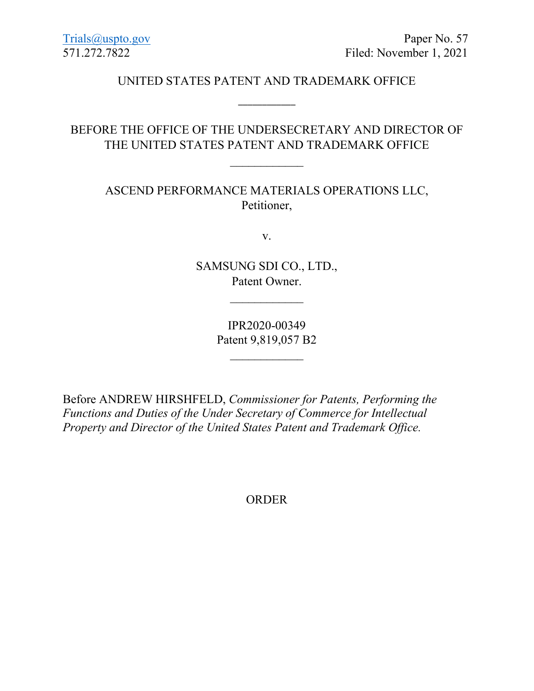# UNITED STATES PATENT AND TRADEMARK OFFICE

\_\_\_\_\_\_\_\_\_\_\_\_

# BEFORE THE OFFICE OF THE UNDERSECRETARY AND DIRECTOR OF THE UNITED STATES PATENT AND TRADEMARK OFFICE

 $\overline{\phantom{a}}$ 

ASCEND PERFORMANCE MATERIALS OPERATIONS LLC, Petitioner,

v.

SAMSUNG SDI CO., LTD., Patent Owner.

 $\overline{\phantom{a}}$ 

IPR2020-00349 Patent 9,819,057 B2

 $\overline{\phantom{a}}$ 

Before ANDREW HIRSHFELD, *Commissioner for Patents, Performing the Functions and Duties of the Under Secretary of Commerce for Intellectual Property and Director of the United States Patent and Trademark Office.*

ORDER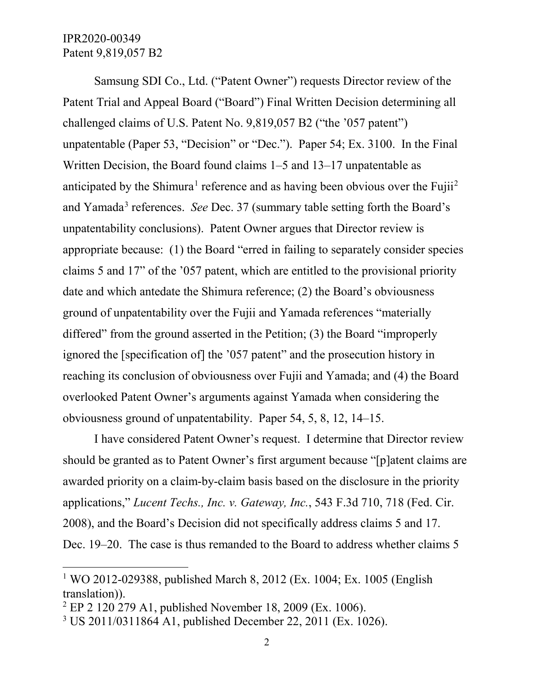# IPR2020-00349 Patent 9,819,057 B2

l

Samsung SDI Co., Ltd. ("Patent Owner") requests Director review of the Patent Trial and Appeal Board ("Board") Final Written Decision determining all challenged claims of U.S. Patent No. 9,819,057 B2 ("the '057 patent") unpatentable (Paper 53, "Decision" or "Dec."). Paper 54; Ex. 3100. In the Final Written Decision, the Board found claims 1–5 and 13–17 unpatentable as anticipated by the Shimura<sup>[1](#page-1-0)</sup> reference and as having been obvious over the Fujii<sup>[2](#page-1-1)</sup> and Yamada<sup>[3](#page-1-2)</sup> references. *See* Dec. 37 (summary table setting forth the Board's unpatentability conclusions). Patent Owner argues that Director review is appropriate because: (1) the Board "erred in failing to separately consider species claims 5 and 17" of the '057 patent, which are entitled to the provisional priority date and which antedate the Shimura reference; (2) the Board's obviousness ground of unpatentability over the Fujii and Yamada references "materially differed" from the ground asserted in the Petition; (3) the Board "improperly ignored the [specification of] the '057 patent" and the prosecution history in reaching its conclusion of obviousness over Fujii and Yamada; and (4) the Board overlooked Patent Owner's arguments against Yamada when considering the obviousness ground of unpatentability. Paper 54, 5, 8, 12, 14–15.

I have considered Patent Owner's request. I determine that Director review should be granted as to Patent Owner's first argument because "[p]atent claims are awarded priority on a claim-by-claim basis based on the disclosure in the priority applications," *Lucent Techs., Inc. v. Gateway, Inc.*, 543 F.3d 710, 718 (Fed. Cir. 2008), and the Board's Decision did not specifically address claims 5 and 17. Dec. 19–20. The case is thus remanded to the Board to address whether claims 5

<span id="page-1-0"></span><sup>1</sup> WO 2012-029388, published March 8, 2012 (Ex. 1004; Ex. 1005 (English translation)).

<span id="page-1-1"></span><sup>2</sup> EP 2 120 279 A1, published November 18, 2009 (Ex. 1006).

<span id="page-1-2"></span><sup>3</sup> US 2011/0311864 A1, published December 22, 2011 (Ex. 1026).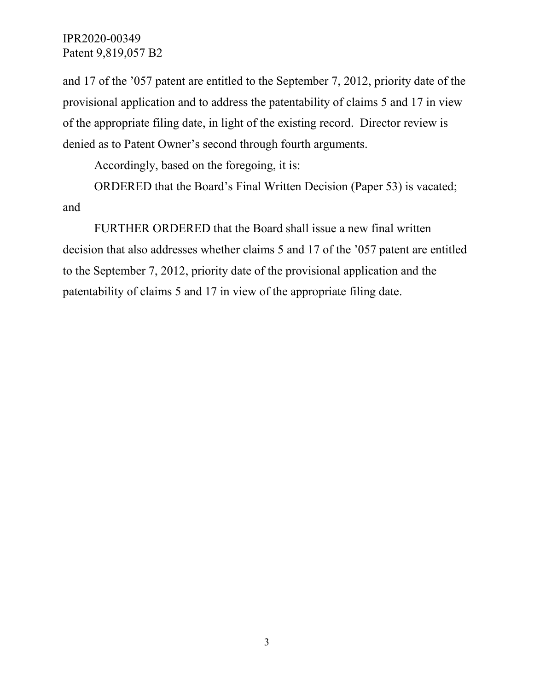# IPR2020-00349 Patent 9,819,057 B2

and 17 of the '057 patent are entitled to the September 7, 2012, priority date of the provisional application and to address the patentability of claims 5 and 17 in view of the appropriate filing date, in light of the existing record. Director review is denied as to Patent Owner's second through fourth arguments.

Accordingly, based on the foregoing, it is:

ORDERED that the Board's Final Written Decision (Paper 53) is vacated; and

FURTHER ORDERED that the Board shall issue a new final written decision that also addresses whether claims 5 and 17 of the '057 patent are entitled to the September 7, 2012, priority date of the provisional application and the patentability of claims 5 and 17 in view of the appropriate filing date.